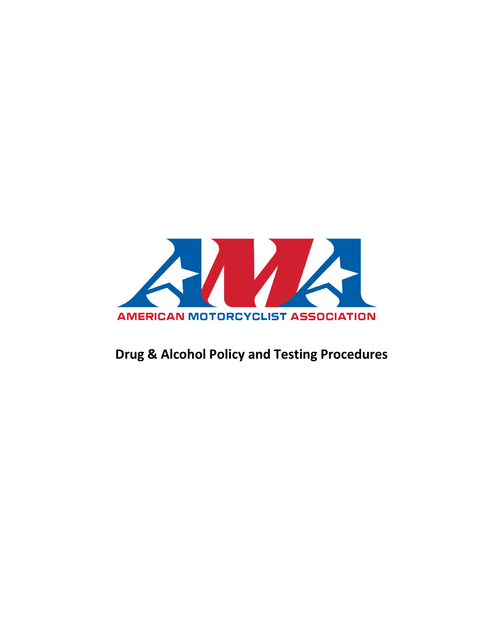

# **Drug & Alcohol Policy and Testing Procedures**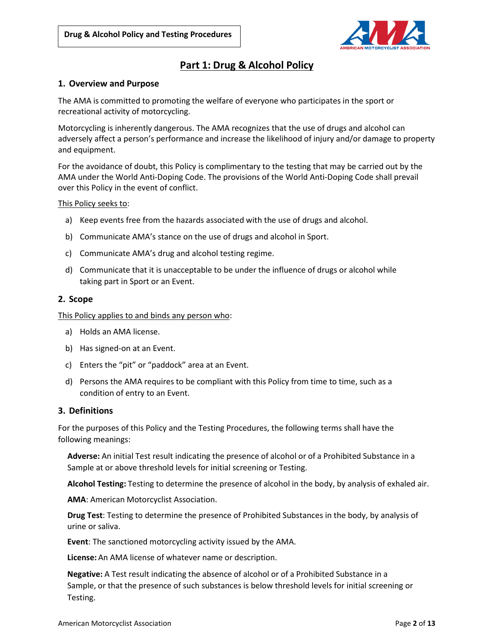

# **Part 1: Drug & Alcohol Policy**

# **1. Overview and Purpose**

The AMA is committed to promoting the welfare of everyone who participates in the sport or recreational activity of motorcycling.

Motorcycling is inherently dangerous. The AMA recognizes that the use of drugs and alcohol can adversely affect a person's performance and increase the likelihood of injury and/or damage to property and equipment.

For the avoidance of doubt, this Policy is complimentary to the testing that may be carried out by the AMA under the World Anti-Doping Code. The provisions of the World Anti-Doping Code shall prevail over this Policy in the event of conflict.

#### This Policy seeks to:

- a) Keep events free from the hazards associated with the use of drugs and alcohol.
- b) Communicate AMA's stance on the use of drugs and alcohol in Sport.
- c) Communicate AMA's drug and alcohol testing regime.
- d) Communicate that it is unacceptable to be under the influence of drugs or alcohol while taking part in Sport or an Event.

# **2. Scope**

This Policy applies to and binds any person who:

- a) Holds an AMA license.
- b) Has signed-on at an Event.
- c) Enters the "pit" or "paddock" area at an Event.
- d) Persons the AMA requires to be compliant with this Policy from time to time, such as a condition of entry to an Event.

#### **3. Definitions**

For the purposes of this Policy and the Testing Procedures, the following terms shall have the following meanings:

**Adverse:** An initial Test result indicating the presence of alcohol or of a Prohibited Substance in a Sample at or above threshold levels for initial screening or Testing.

**Alcohol Testing:** Testing to determine the presence of alcohol in the body, by analysis of exhaled air.

**AMA**: American Motorcyclist Association.

**Drug Test**: Testing to determine the presence of Prohibited Substances in the body, by analysis of urine or saliva.

**Event**: The sanctioned motorcycling activity issued by the AMA.

**License:** An AMA license of whatever name or description.

**Negative:** A Test result indicating the absence of alcohol or of a Prohibited Substance in a Sample, or that the presence of such substances is below threshold levels for initial screening or Testing.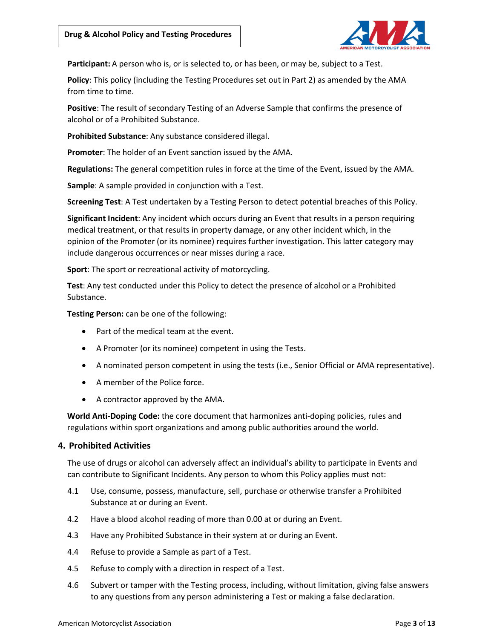

**Participant:** A person who is, or is selected to, or has been, or may be, subject to a Test.

**Policy**: This policy (including the Testing Procedures set out in Part 2) as amended by the AMA from time to time.

**Positive**: The result of secondary Testing of an Adverse Sample that confirms the presence of alcohol or of a Prohibited Substance.

**Prohibited Substance**: Any substance considered illegal.

**Promoter**: The holder of an Event sanction issued by the AMA.

**Regulations:** The general competition rules in force at the time of the Event, issued by the AMA.

**Sample**: A sample provided in conjunction with a Test.

**Screening Test**: A Test undertaken by a Testing Person to detect potential breaches of this Policy.

**Significant Incident**: Any incident which occurs during an Event that results in a person requiring medical treatment, or that results in property damage, or any other incident which, in the opinion of the Promoter (or its nominee) requires further investigation. This latter category may include dangerous occurrences or near misses during a race.

**Sport**: The sport or recreational activity of motorcycling.

**Test**: Any test conducted under this Policy to detect the presence of alcohol or a Prohibited Substance.

**Testing Person:** can be one of the following:

- Part of the medical team at the event.
- A Promoter (or its nominee) competent in using the Tests.
- A nominated person competent in using the tests (i.e., Senior Official or AMA representative).
- A member of the Police force.
- A contractor approved by the AMA.

**World Anti-Doping Code:** the core document that harmonizes anti-doping policies, rules and regulations within sport organizations and among public authorities around the world.

# **4. Prohibited Activities**

The use of drugs or alcohol can adversely affect an individual's ability to participate in Events and can contribute to Significant Incidents. Any person to whom this Policy applies must not:

- 4.1 Use, consume, possess, manufacture, sell, purchase or otherwise transfer a Prohibited Substance at or during an Event.
- 4.2 Have a blood alcohol reading of more than 0.00 at or during an Event.
- 4.3 Have any Prohibited Substance in their system at or during an Event.
- 4.4 Refuse to provide a Sample as part of a Test.
- 4.5 Refuse to comply with a direction in respect of a Test.
- 4.6 Subvert or tamper with the Testing process, including, without limitation, giving false answers to any questions from any person administering a Test or making a false declaration.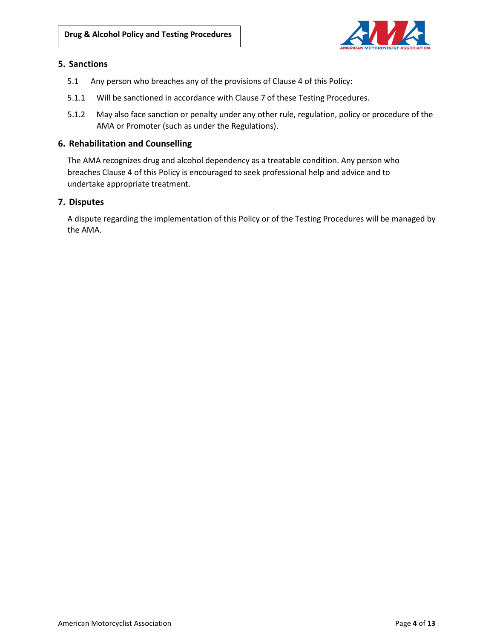

# **5. Sanctions**

- 5.1 Any person who breaches any of the provisions of Clause 4 of this Policy:
- 5.1.1 Will be sanctioned in accordance with Clause 7 of these Testing Procedures.
- 5.1.2 May also face sanction or penalty under any other rule, regulation, policy or procedure of the AMA or Promoter (such as under the Regulations).

#### **6. Rehabilitation and Counselling**

The AMA recognizes drug and alcohol dependency as a treatable condition. Any person who breaches Clause 4 of this Policy is encouraged to seek professional help and advice and to undertake appropriate treatment.

#### **7. Disputes**

A dispute regarding the implementation of this Policy or of the Testing Procedures will be managed by the AMA.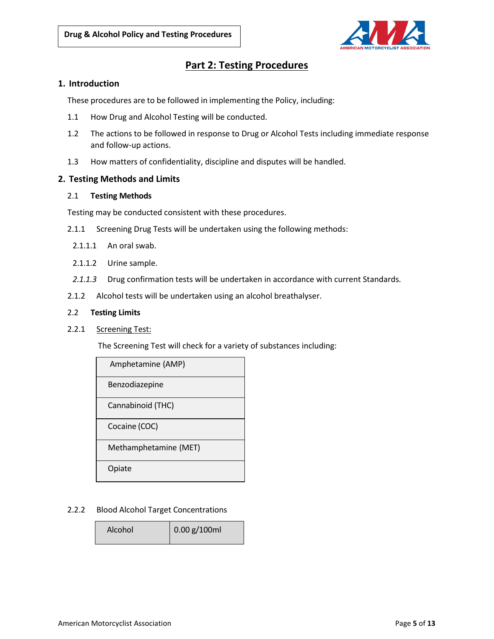

# **Part 2: Testing Procedures**

#### **1. Introduction**

These procedures are to be followed in implementing the Policy, including:

- 1.1 How Drug and Alcohol Testing will be conducted.
- 1.2 The actions to be followed in response to Drug or Alcohol Tests including immediate response and follow-up actions.
- 1.3 How matters of confidentiality, discipline and disputes will be handled.

#### **2. Testing Methods and Limits**

#### 2.1 **Testing Methods**

Testing may be conducted consistent with these procedures.

- 2.1.1 Screening Drug Tests will be undertaken using the following methods:
- 2.1.1.1 An oral swab.
- 2.1.1.2 Urine sample.
- *2.1.1.3* Drug confirmation tests will be undertaken in accordance with current Standards.
- 2.1.2 Alcohol tests will be undertaken using an alcohol breathalyser.

#### 2.2 **Testing Limits**

2.2.1 Screening Test:

The Screening Test will check for a variety of substances including:

| Amphetamine (AMP)     |
|-----------------------|
| Benzodiazepine        |
| Cannabinoid (THC)     |
| Cocaine (COC)         |
| Methamphetamine (MET) |
| piate                 |

#### 2.2.2 Blood Alcohol Target Concentrations

| $\big  0.00$ g/100ml<br>Alcohol |
|---------------------------------|
|---------------------------------|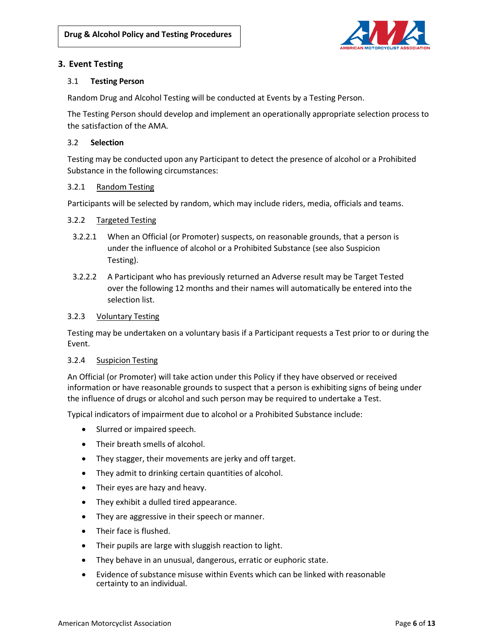

# **3. Event Testing**

# 3.1 **Testing Person**

Random Drug and Alcohol Testing will be conducted at Events by a Testing Person.

The Testing Person should develop and implement an operationally appropriate selection process to the satisfaction of the AMA.

# 3.2 **Selection**

Testing may be conducted upon any Participant to detect the presence of alcohol or a Prohibited Substance in the following circumstances:

# 3.2.1 Random Testing

Participants will be selected by random, which may include riders, media, officials and teams.

#### 3.2.2 Targeted Testing

- 3.2.2.1 When an Official (or Promoter) suspects, on reasonable grounds, that a person is under the influence of alcohol or a Prohibited Substance (see also Suspicion Testing).
- 3.2.2.2 A Participant who has previously returned an Adverse result may be Target Tested over the following 12 months and their names will automatically be entered into the selection list.

#### 3.2.3 Voluntary Testing

Testing may be undertaken on a voluntary basis if a Participant requests a Test prior to or during the Event.

#### 3.2.4 Suspicion Testing

An Official (or Promoter) will take action under this Policy if they have observed or received information or have reasonable grounds to suspect that a person is exhibiting signs of being under the influence of drugs or alcohol and such person may be required to undertake a Test.

Typical indicators of impairment due to alcohol or a Prohibited Substance include:

- Slurred or impaired speech.
- Their breath smells of alcohol.
- They stagger, their movements are jerky and off target.
- They admit to drinking certain quantities of alcohol.
- Their eyes are hazy and heavy.
- They exhibit a dulled tired appearance.
- They are aggressive in their speech or manner.
- Their face is flushed.
- Their pupils are large with sluggish reaction to light.
- They behave in an unusual, dangerous, erratic or euphoric state.
- Evidence of substance misuse within Events which can be linked with reasonable certainty to an individual.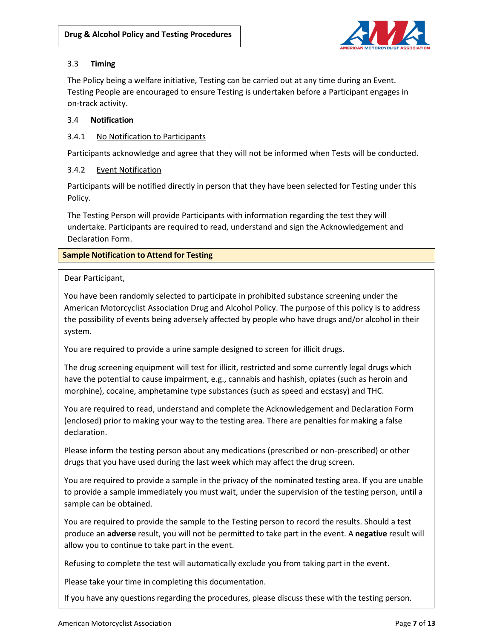

# 3.3 **Timing**

The Policy being a welfare initiative, Testing can be carried out at any time during an Event. Testing People are encouraged to ensure Testing is undertaken before a Participant engages in on-track activity.

# 3.4 **Notification**

# 3.4.1 No Notification to Participants

Participants acknowledge and agree that they will not be informed when Tests will be conducted.

# 3.4.2 Event Notification

Participants will be notified directly in person that they have been selected for Testing under this Policy.

The Testing Person will provide Participants with information regarding the test they will undertake. Participants are required to read, understand and sign the Acknowledgement and Declaration Form.

# **Sample Notification to Attend for Testing**

# Dear Participant,

You have been randomly selected to participate in prohibited substance screening under the American Motorcyclist Association Drug and Alcohol Policy. The purpose of this policy is to address the possibility of events being adversely affected by people who have drugs and/or alcohol in their system.

You are required to provide a urine sample designed to screen for illicit drugs.

The drug screening equipment will test for illicit, restricted and some currently legal drugs which have the potential to cause impairment, e.g., cannabis and hashish, opiates (such as heroin and morphine), cocaine, amphetamine type substances (such as speed and ecstasy) and THC.

You are required to read, understand and complete the Acknowledgement and Declaration Form (enclosed) prior to making your way to the testing area. There are penalties for making a false declaration.

Please inform the testing person about any medications (prescribed or non-prescribed) or other drugs that you have used during the last week which may affect the drug screen.

You are required to provide a sample in the privacy of the nominated testing area. If you are unable to provide a sample immediately you must wait, under the supervision of the testing person, until a sample can be obtained.

You are required to provide the sample to the Testing person to record the results. Should a test produce an **adverse** result, you will not be permitted to take part in the event. A **negative** result will allow you to continue to take part in the event.

Refusing to complete the test will automatically exclude you from taking part in the event.

Please take your time in completing this documentation.

If you have any questions regarding the procedures, please discuss these with the testing person.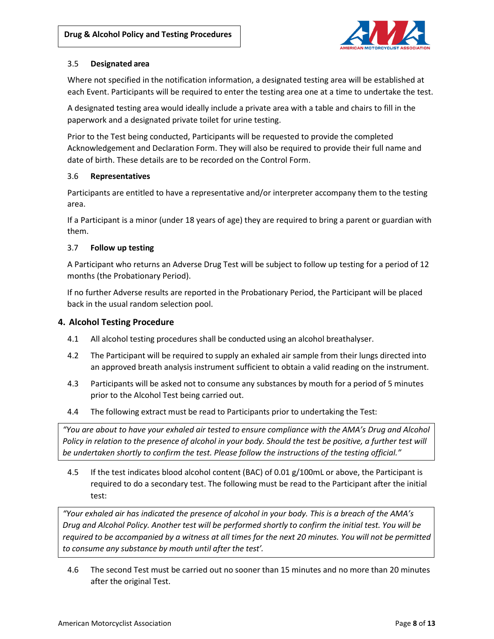

## 3.5 **Designated area**

Where not specified in the notification information, a designated testing area will be established at each Event. Participants will be required to enter the testing area one at a time to undertake the test.

A designated testing area would ideally include a private area with a table and chairs to fill in the paperwork and a designated private toilet for urine testing.

Prior to the Test being conducted, Participants will be requested to provide the completed Acknowledgement and Declaration Form. They will also be required to provide their full name and date of birth. These details are to be recorded on the Control Form.

# 3.6 **Representatives**

Participants are entitled to have a representative and/or interpreter accompany them to the testing area.

If a Participant is a minor (under 18 years of age) they are required to bring a parent or guardian with them.

# 3.7 **Follow up testing**

A Participant who returns an Adverse Drug Test will be subject to follow up testing for a period of 12 months (the Probationary Period).

If no further Adverse results are reported in the Probationary Period, the Participant will be placed back in the usual random selection pool.

# **4. Alcohol Testing Procedure**

- 4.1 All alcohol testing procedures shall be conducted using an alcohol breathalyser.
- 4.2 The Participant will be required to supply an exhaled air sample from their lungs directed into an approved breath analysis instrument sufficient to obtain a valid reading on the instrument.
- 4.3 Participants will be asked not to consume any substances by mouth for a period of 5 minutes prior to the Alcohol Test being carried out.
- 4.4 The following extract must be read to Participants prior to undertaking the Test:

*"You are about to have your exhaled air tested to ensure compliance with the AMA's Drug and Alcohol Policy in relation to the presence of alcohol in your body. Should the test be positive, a further test will be undertaken shortly to confirm the test. Please follow the instructions of the testing official."*

4.5 If the test indicates blood alcohol content (BAC) of 0.01 g/100mL or above, the Participant is required to do a secondary test. The following must be read to the Participant after the initial test:

*"Your exhaled air has indicated the presence of alcohol in your body. This is a breach of the AMA's Drug and Alcohol Policy. Another test will be performed shortly to confirm the initial test. You will be required to be accompanied by a witness at all times for the next 20 minutes. You will not be permitted to consume any substance by mouth until after the test'.*

4.6 The second Test must be carried out no sooner than 15 minutes and no more than 20 minutes after the original Test.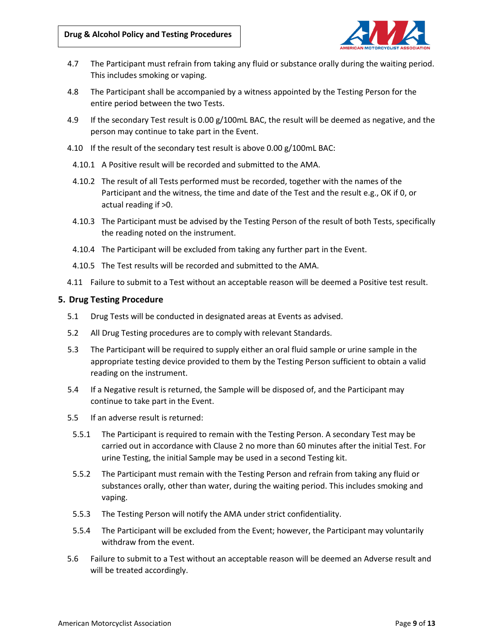

- 4.7 The Participant must refrain from taking any fluid or substance orally during the waiting period. This includes smoking or vaping.
- 4.8 The Participant shall be accompanied by a witness appointed by the Testing Person for the entire period between the two Tests.
- 4.9 If the secondary Test result is 0.00 g/100mL BAC, the result will be deemed as negative, and the person may continue to take part in the Event.
- 4.10 If the result of the secondary test result is above 0.00 g/100mL BAC:
	- 4.10.1 A Positive result will be recorded and submitted to the AMA.
	- 4.10.2 The result of all Tests performed must be recorded, together with the names of the Participant and the witness, the time and date of the Test and the result e.g., OK if 0, or actual reading if >0.
- 4.10.3 The Participant must be advised by the Testing Person of the result of both Tests, specifically the reading noted on the instrument.
- 4.10.4 The Participant will be excluded from taking any further part in the Event.
- 4.10.5 The Test results will be recorded and submitted to the AMA.
- 4.11 Failure to submit to a Test without an acceptable reason will be deemed a Positive test result.

#### **5. Drug Testing Procedure**

- 5.1 Drug Tests will be conducted in designated areas at Events as advised.
- 5.2 All Drug Testing procedures are to comply with relevant Standards.
- 5.3 The Participant will be required to supply either an oral fluid sample or urine sample in the appropriate testing device provided to them by the Testing Person sufficient to obtain a valid reading on the instrument.
- 5.4 If a Negative result is returned, the Sample will be disposed of, and the Participant may continue to take part in the Event.
- 5.5 If an adverse result is returned:
	- 5.5.1 The Participant is required to remain with the Testing Person. A secondary Test may be carried out in accordance with Clause 2 no more than 60 minutes after the initial Test. For urine Testing, the initial Sample may be used in a second Testing kit.
	- 5.5.2 The Participant must remain with the Testing Person and refrain from taking any fluid or substances orally, other than water, during the waiting period. This includes smoking and vaping.
	- 5.5.3 The Testing Person will notify the AMA under strict confidentiality.
	- 5.5.4 The Participant will be excluded from the Event; however, the Participant may voluntarily withdraw from the event.
- 5.6 Failure to submit to a Test without an acceptable reason will be deemed an Adverse result and will be treated accordingly.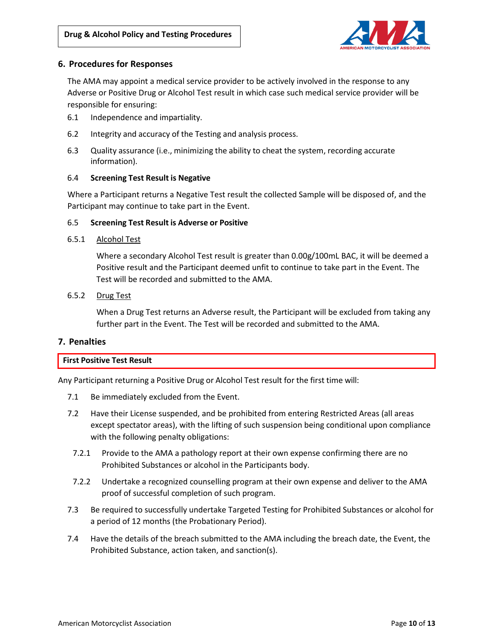

# **6. Procedures for Responses**

The AMA may appoint a medical service provider to be actively involved in the response to any Adverse or Positive Drug or Alcohol Test result in which case such medical service provider will be responsible for ensuring:

- 6.1 Independence and impartiality.
- 6.2 Integrity and accuracy of the Testing and analysis process.
- 6.3 Quality assurance (i.e., minimizing the ability to cheat the system, recording accurate information).

# 6.4 **Screening Test Result is Negative**

Where a Participant returns a Negative Test result the collected Sample will be disposed of, and the Participant may continue to take part in the Event.

# 6.5 **Screening Test Result is Adverse or Positive**

#### 6.5.1 Alcohol Test

Where a secondary Alcohol Test result is greater than 0.00g/100mL BAC, it will be deemed a Positive result and the Participant deemed unfit to continue to take part in the Event. The Test will be recorded and submitted to the AMA.

# 6.5.2 Drug Test

When a Drug Test returns an Adverse result, the Participant will be excluded from taking any further part in the Event. The Test will be recorded and submitted to the AMA.

# **7. Penalties**

#### **First Positive Test Result**

Any Participant returning a Positive Drug or Alcohol Test result for the first time will:

- 7.1 Be immediately excluded from the Event.
- 7.2 Have their License suspended, and be prohibited from entering Restricted Areas (all areas except spectator areas), with the lifting of such suspension being conditional upon compliance with the following penalty obligations:
- 7.2.1 Provide to the AMA a pathology report at their own expense confirming there are no Prohibited Substances or alcohol in the Participants body.
- 7.2.2 Undertake a recognized counselling program at their own expense and deliver to the AMA proof of successful completion of such program.
- 7.3 Be required to successfully undertake Targeted Testing for Prohibited Substances or alcohol for a period of 12 months (the Probationary Period).
- 7.4 Have the details of the breach submitted to the AMA including the breach date, the Event, the Prohibited Substance, action taken, and sanction(s).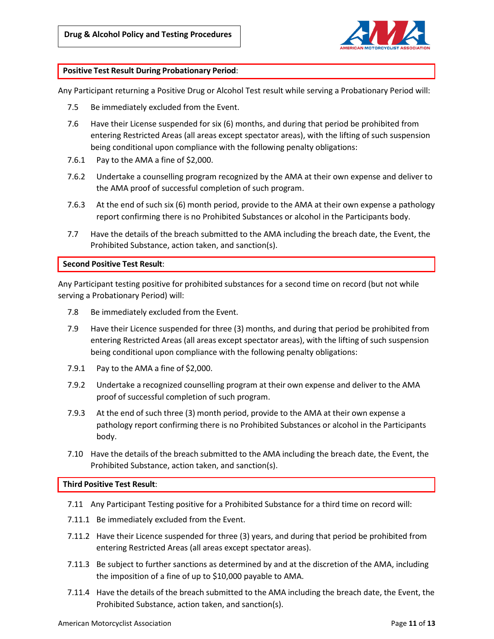

#### **Positive Test Result During Probationary Period**:

Any Participant returning a Positive Drug or Alcohol Test result while serving a Probationary Period will:

- 7.5 Be immediately excluded from the Event.
- 7.6 Have their License suspended for six (6) months, and during that period be prohibited from entering Restricted Areas (all areas except spectator areas), with the lifting of such suspension being conditional upon compliance with the following penalty obligations:
- 7.6.1 Pay to the AMA a fine of \$2,000.
- 7.6.2 Undertake a counselling program recognized by the AMA at their own expense and deliver to the AMA proof of successful completion of such program.
- 7.6.3 At the end of such six (6) month period, provide to the AMA at their own expense a pathology report confirming there is no Prohibited Substances or alcohol in the Participants body.
- 7.7 Have the details of the breach submitted to the AMA including the breach date, the Event, the Prohibited Substance, action taken, and sanction(s).

**Second Positive Test Result**:

Any Participant testing positive for prohibited substances for a second time on record (but not while serving a Probationary Period) will:

- 7.8 Be immediately excluded from the Event.
- 7.9 Have their Licence suspended for three (3) months, and during that period be prohibited from entering Restricted Areas (all areas except spectator areas), with the lifting of such suspension being conditional upon compliance with the following penalty obligations:
- 7.9.1 Pay to the AMA a fine of \$2,000.
- 7.9.2 Undertake a recognized counselling program at their own expense and deliver to the AMA proof of successful completion of such program.
- 7.9.3 At the end of such three (3) month period, provide to the AMA at their own expense a pathology report confirming there is no Prohibited Substances or alcohol in the Participants body.
- 7.10 Have the details of the breach submitted to the AMA including the breach date, the Event, the Prohibited Substance, action taken, and sanction(s).

#### **Third Positive Test Result**:

- 7.11 Any Participant Testing positive for a Prohibited Substance for a third time on record will:
- 7.11.1 Be immediately excluded from the Event.
- 7.11.2 Have their Licence suspended for three (3) years, and during that period be prohibited from entering Restricted Areas (all areas except spectator areas).
- 7.11.3 Be subject to further sanctions as determined by and at the discretion of the AMA, including the imposition of a fine of up to \$10,000 payable to AMA.
- 7.11.4 Have the details of the breach submitted to the AMA including the breach date, the Event, the Prohibited Substance, action taken, and sanction(s).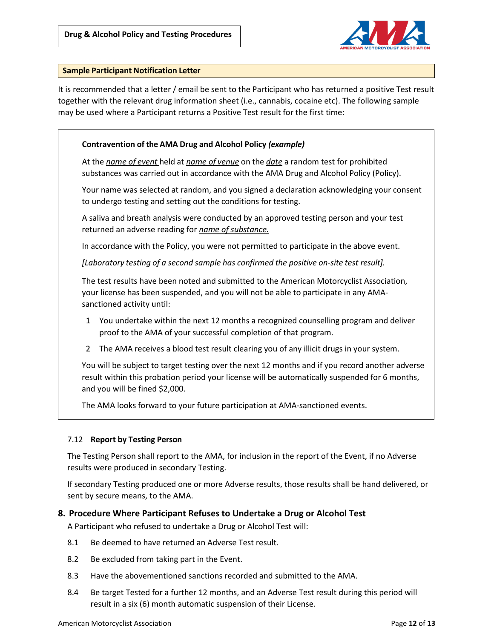

#### **Sample Participant Notification Letter**

It is recommended that a letter / email be sent to the Participant who has returned a positive Test result together with the relevant drug information sheet (i.e., cannabis, cocaine etc). The following sample may be used where a Participant returns a Positive Test result for the first time:

# **Contravention of the AMA Drug and Alcohol Policy** *(example)*

At the *name of event* held at *name of venue* on the *date* a random test for prohibited substances was carried out in accordance with the AMA Drug and Alcohol Policy (Policy).

Your name was selected at random, and you signed a declaration acknowledging your consent to undergo testing and setting out the conditions for testing.

A saliva and breath analysis were conducted by an approved testing person and your test returned an adverse reading for *name of substance.*

In accordance with the Policy, you were not permitted to participate in the above event.

*[Laboratory testing of a second sample has confirmed the positive on-site test result].*

The test results have been noted and submitted to the American Motorcyclist Association, your license has been suspended, and you will not be able to participate in any AMAsanctioned activity until:

- 1 You undertake within the next 12 months a recognized counselling program and deliver proof to the AMA of your successful completion of that program.
- 2 The AMA receives a blood test result clearing you of any illicit drugs in your system.

You will be subject to target testing over the next 12 months and if you record another adverse result within this probation period your license will be automatically suspended for 6 months, and you will be fined \$2,000.

The AMA looks forward to your future participation at AMA-sanctioned events.

# 7.12 **Report by Testing Person**

The Testing Person shall report to the AMA, for inclusion in the report of the Event, if no Adverse results were produced in secondary Testing.

If secondary Testing produced one or more Adverse results, those results shall be hand delivered, or sent by secure means, to the AMA.

# **8. Procedure Where Participant Refuses to Undertake a Drug or Alcohol Test**

A Participant who refused to undertake a Drug or Alcohol Test will:

- 8.1 Be deemed to have returned an Adverse Test result.
- 8.2 Be excluded from taking part in the Event.
- 8.3 Have the abovementioned sanctions recorded and submitted to the AMA.
- 8.4 Be target Tested for a further 12 months, and an Adverse Test result during this period will result in a six (6) month automatic suspension of their License.